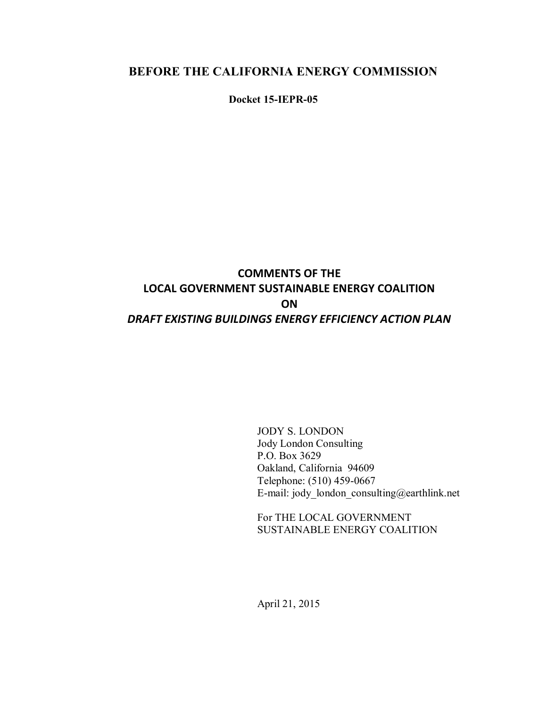## **BEFORE THE CALIFORNIA ENERGY COMMISSION**

**Docket 15-IEPR-05**

## **COMMENTS OF THE LOCAL GOVERNMENT SUSTAINABLE ENERGY COALITION ON**  *DRAFT EXISTING BUILDINGS ENERGY EFFICIENCY ACTION PLAN*

JODY S. LONDON Jody London Consulting P.O. Box 3629 Oakland, California 94609 Telephone: (510) 459-0667 E-mail: jody london consulting@earthlink.net

For THE LOCAL GOVERNMENT SUSTAINABLE ENERGY COALITION

April 21, 2015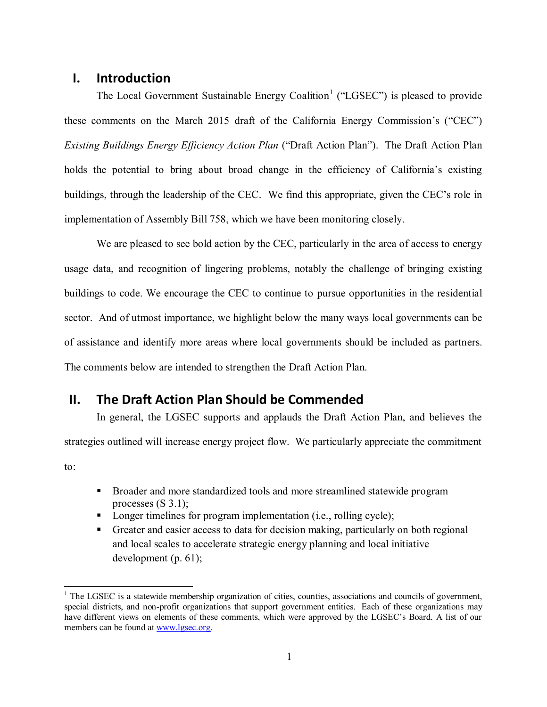### **I. Introduction**

 $\overline{a}$ 

The Local Government Sustainable Energy Coalition<sup>1</sup> ("LGSEC") is pleased to provide these comments on the March 2015 draft of the California Energy Commission's ("CEC") *Existing Buildings Energy Efficiency Action Plan* ("Draft Action Plan"). The Draft Action Plan holds the potential to bring about broad change in the efficiency of California's existing buildings, through the leadership of the CEC. We find this appropriate, given the CEC's role in implementation of Assembly Bill 758, which we have been monitoring closely.

We are pleased to see bold action by the CEC, particularly in the area of access to energy usage data, and recognition of lingering problems, notably the challenge of bringing existing buildings to code. We encourage the CEC to continue to pursue opportunities in the residential sector. And of utmost importance, we highlight below the many ways local governments can be of assistance and identify more areas where local governments should be included as partners. The comments below are intended to strengthen the Draft Action Plan.

## **II. The Draft Action Plan Should be Commended**

In general, the LGSEC supports and applauds the Draft Action Plan, and believes the strategies outlined will increase energy project flow. We particularly appreciate the commitment to:

- **Broader and more standardized tools and more streamlined statewide program** processes  $(S\ 3.1)$ ;
- Longer timelines for program implementation (i.e., rolling cycle);
- Greater and easier access to data for decision making, particularly on both regional and local scales to accelerate strategic energy planning and local initiative development (p. 61);

 $1$  The LGSEC is a statewide membership organization of cities, counties, associations and councils of government, special districts, and non-profit organizations that support government entities. Each of these organizations may have different views on elements of these comments, which were approved by the LGSEC's Board. A list of our members can be found at [www.lgsec.org.](http://www.lgsec.org/)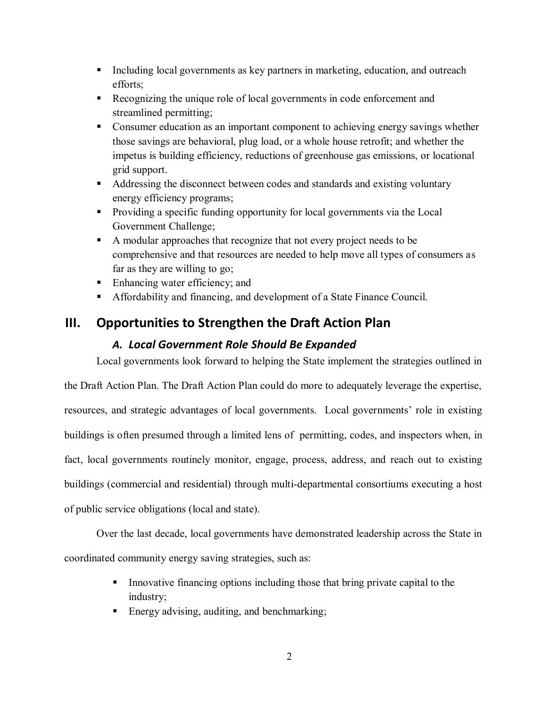- Including local governments as key partners in marketing, education, and outreach efforts;
- Recognizing the unique role of local governments in code enforcement and streamlined permitting;
- Consumer education as an important component to achieving energy savings whether those savings are behavioral, plug load, or a whole house retrofit; and whether the impetus is building efficiency, reductions of greenhouse gas emissions, or locational grid support.
- Addressing the disconnect between codes and standards and existing voluntary energy efficiency programs;
- Providing a specific funding opportunity for local governments via the Local Government Challenge;
- A modular approaches that recognize that not every project needs to be comprehensive and that resources are needed to help move all types of consumers as far as they are willing to go;
- Enhancing water efficiency; and
- Affordability and financing, and development of a State Finance Council.

# **III. Opportunities to Strengthen the Draft Action Plan**

## *A. Local Government Role Should Be Expanded*

Local governments look forward to helping the State implement the strategies outlined in

the Draft Action Plan. The Draft Action Plan could do more to adequately leverage the expertise, resources, and strategic advantages of local governments. Local governments' role in existing buildings is often presumed through a limited lens of permitting, codes, and inspectors when, in fact, local governments routinely monitor, engage, process, address, and reach out to existing buildings (commercial and residential) through multi-departmental consortiums executing a host of public service obligations (local and state).

Over the last decade, local governments have demonstrated leadership across the State in coordinated community energy saving strategies, such as:

- Innovative financing options including those that bring private capital to the industry;
- Energy advising, auditing, and benchmarking;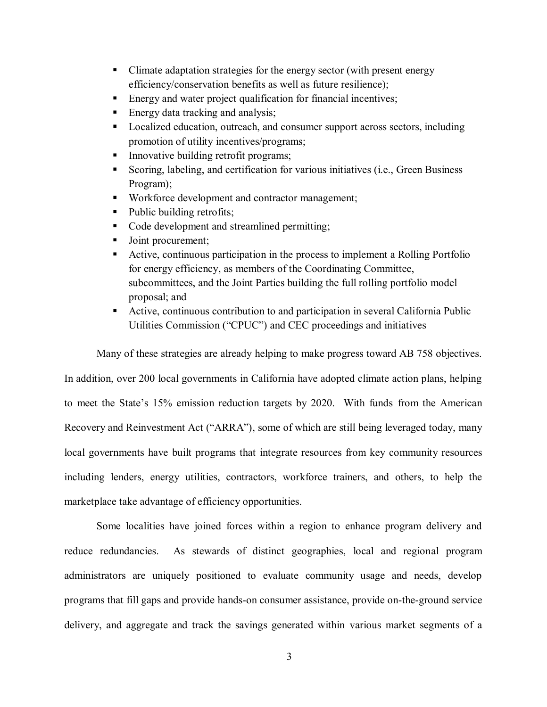- Climate adaptation strategies for the energy sector (with present energy efficiency/conservation benefits as well as future resilience);
- Energy and water project qualification for financial incentives;
- Energy data tracking and analysis;
- Localized education, outreach, and consumer support across sectors, including promotion of utility incentives/programs;
- Innovative building retrofit programs;
- Scoring, labeling, and certification for various initiatives (i.e., Green Business Program);
- Workforce development and contractor management;
- Public building retrofits;
- Code development and streamlined permitting;
- Ioint procurement;
- Active, continuous participation in the process to implement a Rolling Portfolio for energy efficiency, as members of the Coordinating Committee, subcommittees, and the Joint Parties building the full rolling portfolio model proposal; and
- Active, continuous contribution to and participation in several California Public Utilities Commission ("CPUC") and CEC proceedings and initiatives

Many of these strategies are already helping to make progress toward AB 758 objectives.

In addition, over 200 local governments in California have adopted climate action plans, helping to meet the State's 15% emission reduction targets by 2020. With funds from the American Recovery and Reinvestment Act ("ARRA"), some of which are still being leveraged today, many local governments have built programs that integrate resources from key community resources including lenders, energy utilities, contractors, workforce trainers, and others, to help the marketplace take advantage of efficiency opportunities.

Some localities have joined forces within a region to enhance program delivery and reduce redundancies. As stewards of distinct geographies, local and regional program administrators are uniquely positioned to evaluate community usage and needs, develop programs that fill gaps and provide hands-on consumer assistance, provide on-the-ground service delivery, and aggregate and track the savings generated within various market segments of a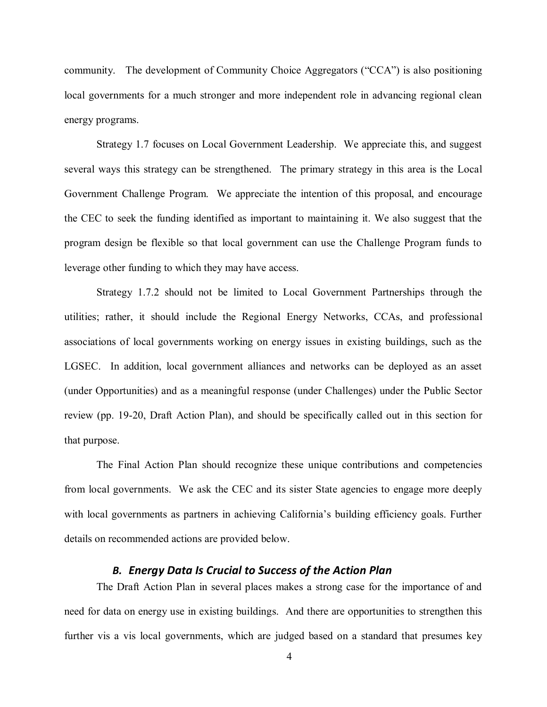community. The development of Community Choice Aggregators ("CCA") is also positioning local governments for a much stronger and more independent role in advancing regional clean energy programs.

Strategy 1.7 focuses on Local Government Leadership. We appreciate this, and suggest several ways this strategy can be strengthened. The primary strategy in this area is the Local Government Challenge Program. We appreciate the intention of this proposal, and encourage the CEC to seek the funding identified as important to maintaining it. We also suggest that the program design be flexible so that local government can use the Challenge Program funds to leverage other funding to which they may have access.

Strategy 1.7.2 should not be limited to Local Government Partnerships through the utilities; rather, it should include the Regional Energy Networks, CCAs, and professional associations of local governments working on energy issues in existing buildings, such as the LGSEC. In addition, local government alliances and networks can be deployed as an asset (under Opportunities) and as a meaningful response (under Challenges) under the Public Sector review (pp. 19-20, Draft Action Plan), and should be specifically called out in this section for that purpose.

The Final Action Plan should recognize these unique contributions and competencies from local governments. We ask the CEC and its sister State agencies to engage more deeply with local governments as partners in achieving California's building efficiency goals. Further details on recommended actions are provided below.

#### *B. Energy Data Is Crucial to Success of the Action Plan*

The Draft Action Plan in several places makes a strong case for the importance of and need for data on energy use in existing buildings. And there are opportunities to strengthen this further vis a vis local governments, which are judged based on a standard that presumes key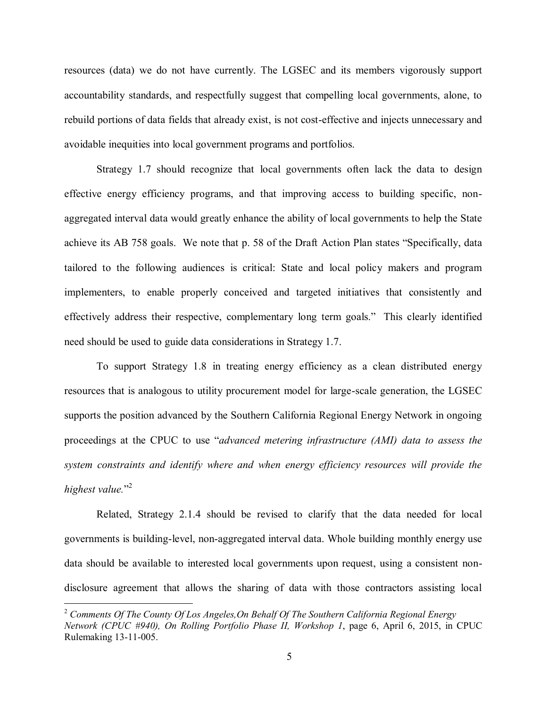resources (data) we do not have currently. The LGSEC and its members vigorously support accountability standards, and respectfully suggest that compelling local governments, alone, to rebuild portions of data fields that already exist, is not cost-effective and injects unnecessary and avoidable inequities into local government programs and portfolios.

Strategy 1.7 should recognize that local governments often lack the data to design effective energy efficiency programs, and that improving access to building specific, nonaggregated interval data would greatly enhance the ability of local governments to help the State achieve its AB 758 goals. We note that p. 58 of the Draft Action Plan states "Specifically, data tailored to the following audiences is critical: State and local policy makers and program implementers, to enable properly conceived and targeted initiatives that consistently and effectively address their respective, complementary long term goals." This clearly identified need should be used to guide data considerations in Strategy 1.7.

To support Strategy 1.8 in treating energy efficiency as a clean distributed energy resources that is analogous to utility procurement model for large-scale generation, the LGSEC supports the position advanced by the Southern California Regional Energy Network in ongoing proceedings at the CPUC to use "*advanced metering infrastructure (AMI) data to assess the system constraints and identify where and when energy efficiency resources will provide the highest value.*" 2

Related, Strategy 2.1.4 should be revised to clarify that the data needed for local governments is building-level, non-aggregated interval data. Whole building monthly energy use data should be available to interested local governments upon request, using a consistent nondisclosure agreement that allows the sharing of data with those contractors assisting local

 $\overline{a}$ 

<sup>2</sup> *Comments Of The County Of Los Angeles,On Behalf Of The Southern California Regional Energy Network (CPUC #940), On Rolling Portfolio Phase II, Workshop 1*, page 6, April 6, 2015, in CPUC Rulemaking 13-11-005.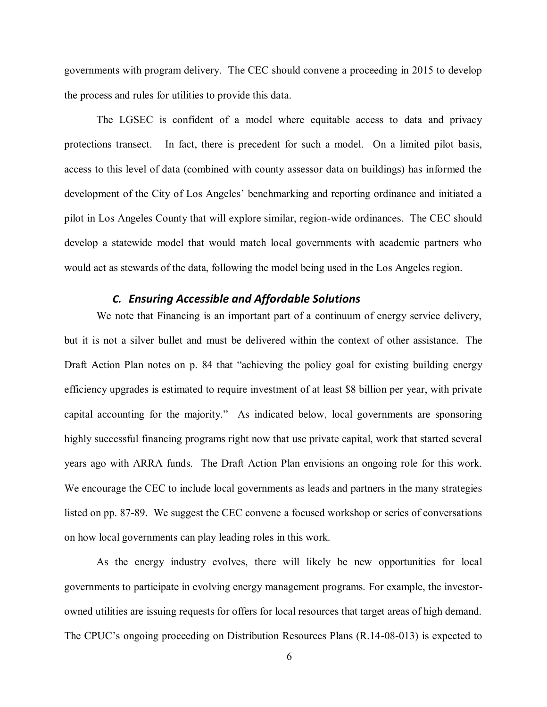governments with program delivery. The CEC should convene a proceeding in 2015 to develop the process and rules for utilities to provide this data.

The LGSEC is confident of a model where equitable access to data and privacy protections transect. In fact, there is precedent for such a model. On a limited pilot basis, access to this level of data (combined with county assessor data on buildings) has informed the development of the City of Los Angeles' benchmarking and reporting ordinance and initiated a pilot in Los Angeles County that will explore similar, region-wide ordinances. The CEC should develop a statewide model that would match local governments with academic partners who would act as stewards of the data, following the model being used in the Los Angeles region.

#### *C. Ensuring Accessible and Affordable Solutions*

We note that Financing is an important part of a continuum of energy service delivery, but it is not a silver bullet and must be delivered within the context of other assistance. The Draft Action Plan notes on p. 84 that "achieving the policy goal for existing building energy efficiency upgrades is estimated to require investment of at least \$8 billion per year, with private capital accounting for the majority." As indicated below, local governments are sponsoring highly successful financing programs right now that use private capital, work that started several years ago with ARRA funds. The Draft Action Plan envisions an ongoing role for this work. We encourage the CEC to include local governments as leads and partners in the many strategies listed on pp. 87-89. We suggest the CEC convene a focused workshop or series of conversations on how local governments can play leading roles in this work.

As the energy industry evolves, there will likely be new opportunities for local governments to participate in evolving energy management programs. For example, the investorowned utilities are issuing requests for offers for local resources that target areas of high demand. The CPUC's ongoing proceeding on Distribution Resources Plans (R.14-08-013) is expected to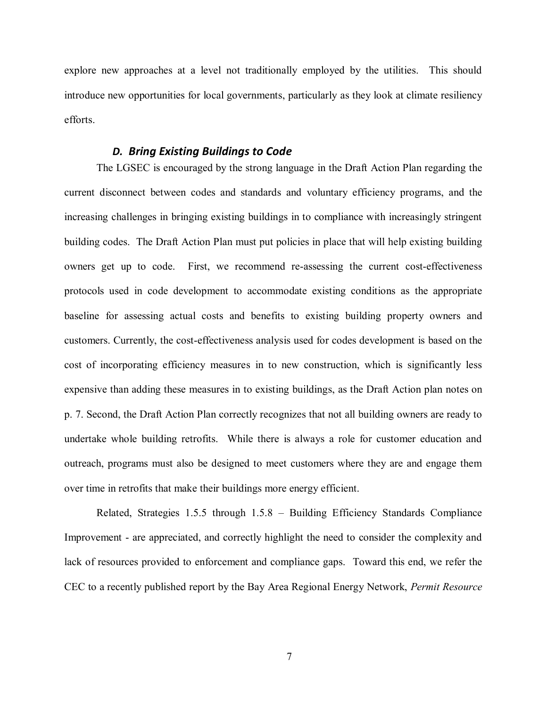explore new approaches at a level not traditionally employed by the utilities. This should introduce new opportunities for local governments, particularly as they look at climate resiliency efforts.

#### *D. Bring Existing Buildings to Code*

The LGSEC is encouraged by the strong language in the Draft Action Plan regarding the current disconnect between codes and standards and voluntary efficiency programs, and the increasing challenges in bringing existing buildings in to compliance with increasingly stringent building codes. The Draft Action Plan must put policies in place that will help existing building owners get up to code. First, we recommend re-assessing the current cost-effectiveness protocols used in code development to accommodate existing conditions as the appropriate baseline for assessing actual costs and benefits to existing building property owners and customers. Currently, the cost-effectiveness analysis used for codes development is based on the cost of incorporating efficiency measures in to new construction, which is significantly less expensive than adding these measures in to existing buildings, as the Draft Action plan notes on p. 7. Second, the Draft Action Plan correctly recognizes that not all building owners are ready to undertake whole building retrofits. While there is always a role for customer education and outreach, programs must also be designed to meet customers where they are and engage them over time in retrofits that make their buildings more energy efficient.

Related, Strategies 1.5.5 through 1.5.8 – Building Efficiency Standards Compliance Improvement - are appreciated, and correctly highlight the need to consider the complexity and lack of resources provided to enforcement and compliance gaps. Toward this end, we refer the CEC to a recently published report by the Bay Area Regional Energy Network, *Permit Resource*

7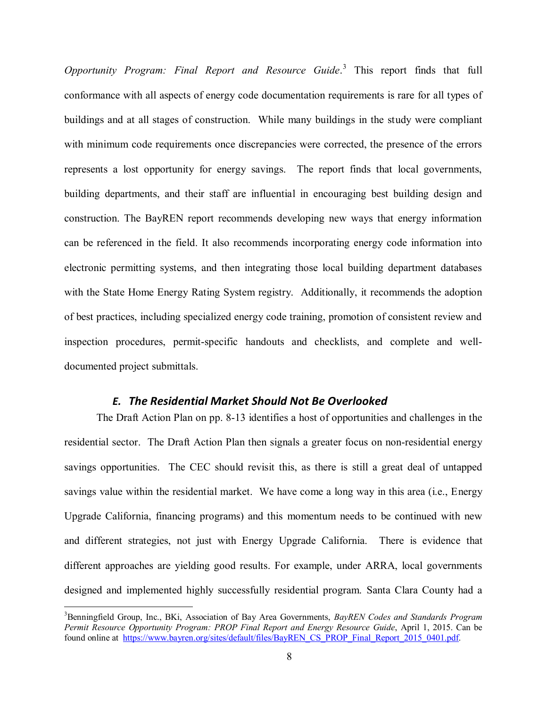*Opportunity Program: Final Report and Resource Guide*. 3 This report finds that full conformance with all aspects of energy code documentation requirements is rare for all types of buildings and at all stages of construction. While many buildings in the study were compliant with minimum code requirements once discrepancies were corrected, the presence of the errors represents a lost opportunity for energy savings. The report finds that local governments, building departments, and their staff are influential in encouraging best building design and construction. The BayREN report recommends developing new ways that energy information can be referenced in the field. It also recommends incorporating energy code information into electronic permitting systems, and then integrating those local building department databases with the State Home Energy Rating System registry. Additionally, it recommends the adoption of best practices, including specialized energy code training, promotion of consistent review and inspection procedures, permit-specific handouts and checklists, and complete and welldocumented project submittals.

#### *E. The Residential Market Should Not Be Overlooked*

The Draft Action Plan on pp. 8-13 identifies a host of opportunities and challenges in the residential sector. The Draft Action Plan then signals a greater focus on non-residential energy savings opportunities. The CEC should revisit this, as there is still a great deal of untapped savings value within the residential market. We have come a long way in this area (i.e., Energy Upgrade California, financing programs) and this momentum needs to be continued with new and different strategies, not just with Energy Upgrade California. There is evidence that different approaches are yielding good results. For example, under ARRA, local governments designed and implemented highly successfully residential program. Santa Clara County had a

 $\overline{a}$ 

<sup>3</sup>Benningfield Group, Inc., BKi, Association of Bay Area Governments, *BayREN Codes and Standards Program Permit Resource Opportunity Program: PROP Final Report and Energy Resource Guide*, April 1, 2015. Can be found online at [https://www.bayren.org/sites/default/files/BayREN\\_CS\\_PROP\\_Final\\_Report\\_2015\\_0401.pdf.](https://www.bayren.org/sites/default/files/BayREN_CS_PROP_Final_Report_2015_0401.pdf)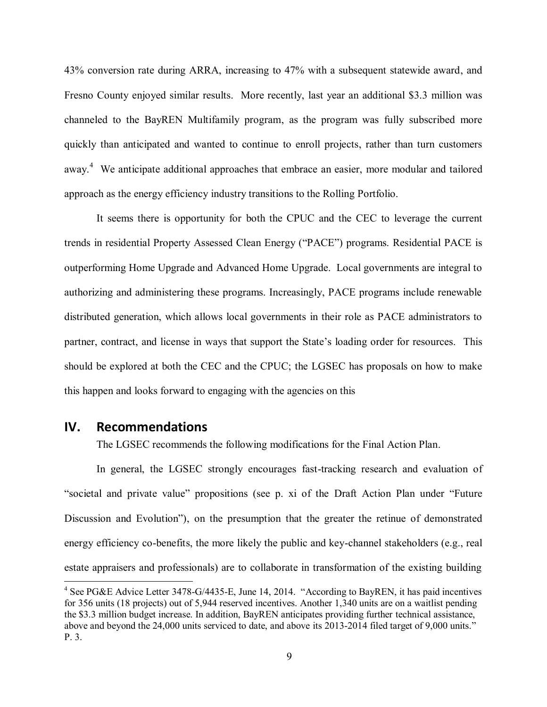43% conversion rate during ARRA, increasing to 47% with a subsequent statewide award, and Fresno County enjoyed similar results. More recently, last year an additional \$3.3 million was channeled to the BayREN Multifamily program, as the program was fully subscribed more quickly than anticipated and wanted to continue to enroll projects, rather than turn customers away.<sup>4</sup> We anticipate additional approaches that embrace an easier, more modular and tailored approach as the energy efficiency industry transitions to the Rolling Portfolio.

It seems there is opportunity for both the CPUC and the CEC to leverage the current trends in residential Property Assessed Clean Energy ("PACE") programs. Residential PACE is outperforming Home Upgrade and Advanced Home Upgrade. Local governments are integral to authorizing and administering these programs. Increasingly, PACE programs include renewable distributed generation, which allows local governments in their role as PACE administrators to partner, contract, and license in ways that support the State's loading order for resources. This should be explored at both the CEC and the CPUC; the LGSEC has proposals on how to make this happen and looks forward to engaging with the agencies on this

#### **IV. Recommendations**

 $\overline{a}$ 

The LGSEC recommends the following modifications for the Final Action Plan.

In general, the LGSEC strongly encourages fast-tracking research and evaluation of "societal and private value" propositions (see p. xi of the Draft Action Plan under "Future Discussion and Evolution"), on the presumption that the greater the retinue of demonstrated energy efficiency co-benefits, the more likely the public and key-channel stakeholders (e.g., real estate appraisers and professionals) are to collaborate in transformation of the existing building

<sup>&</sup>lt;sup>4</sup> See PG&E Advice Letter 3478-G/4435-E, June 14, 2014. "According to BayREN, it has paid incentives for 356 units (18 projects) out of 5,944 reserved incentives. Another 1,340 units are on a waitlist pending the \$3.3 million budget increase. In addition, BayREN anticipates providing further technical assistance, above and beyond the 24,000 units serviced to date, and above its 2013-2014 filed target of 9,000 units." P. 3.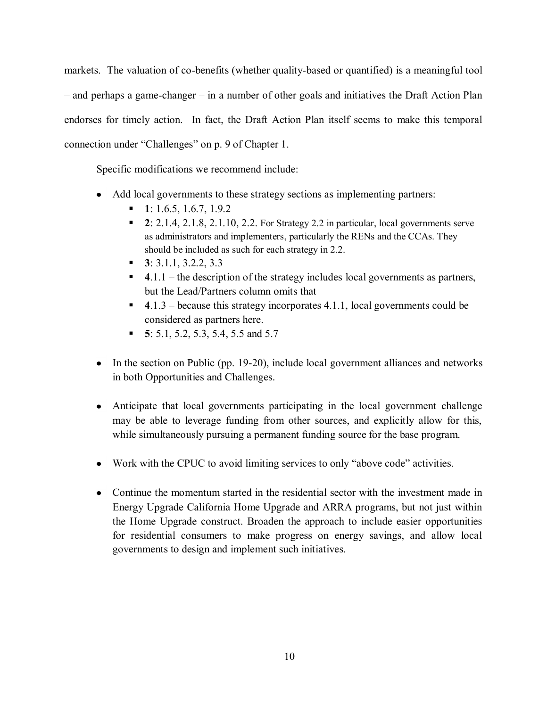markets. The valuation of co-benefits (whether quality-based or quantified) is a meaningful tool – and perhaps a game-changer – in a number of other goals and initiatives the Draft Action Plan endorses for timely action. In fact, the Draft Action Plan itself seems to make this temporal connection under "Challenges" on p. 9 of Chapter 1.

Specific modifications we recommend include:

- Add local governments to these strategy sections as implementing partners:  $\bullet$ 
	- **1**: 1.6.5, 1.6.7, 1.9.2
	- **2**: 2.1.4, 2.1.8, 2.1.10, 2.2. For Strategy 2.2 in particular, local governments serve as administrators and implementers, particularly the RENs and the CCAs. They should be included as such for each strategy in 2.2.
	- **3**: 3.1.1, 3.2.2, 3.3
	- **4**.1.1 the description of the strategy includes local governments as partners, but the Lead/Partners column omits that
	- **4**.1.3 because this strategy incorporates 4.1.1, local governments could be considered as partners here.
	- **5**: 5.1, 5.2, 5.3, 5.4, 5.5 and 5.7
- $\bullet$  In the section on Public (pp. 19-20), include local government alliances and networks in both Opportunities and Challenges.
- Anticipate that local governments participating in the local government challenge may be able to leverage funding from other sources, and explicitly allow for this, while simultaneously pursuing a permanent funding source for the base program.
- Work with the CPUC to avoid limiting services to only "above code" activities.
- Continue the momentum started in the residential sector with the investment made in Energy Upgrade California Home Upgrade and ARRA programs, but not just within the Home Upgrade construct. Broaden the approach to include easier opportunities for residential consumers to make progress on energy savings, and allow local governments to design and implement such initiatives.